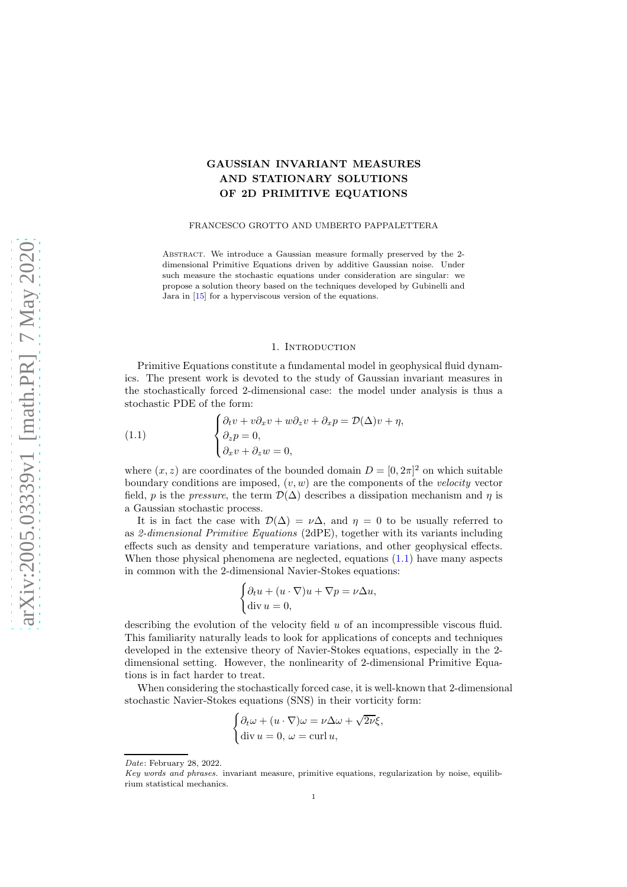# GAUSSIAN INVARIANT MEASURES AND STATIONARY SOLUTIONS OF 2D PRIMITIVE EQUATIONS

#### FRANCESCO GROTTO AND UMBERTO PAPPALETTERA

Abstract. We introduce a Gaussian measure formally preserved by the 2 dimensional Primitive Equations driven by additive Gaussian noise. Under such measure the stochastic equations under consideration are singular: we propose a solution theory based on the techniques developed by Gubinelli and Jara in [\[15\]](#page-13-0) for a hyperviscous version of the equations.

#### 1. INTRODUCTION

Primitive Equations constitute a fundamental model in geophysical fluid dynamics. The present work is devoted to the study of Gaussian invariant measures in the stochastically forced 2-dimensional case: the model under analysis is thus a stochastic PDE of the form:

<span id="page-0-0"></span>(1.1) 
$$
\begin{cases} \partial_t v + v \partial_x v + w \partial_z v + \partial_x p = \mathcal{D}(\Delta) v + \eta, \\ \partial_z p = 0, \\ \partial_x v + \partial_z w = 0, \end{cases}
$$

where  $(x, z)$  are coordinates of the bounded domain  $D = [0, 2\pi]^2$  on which suitable boundary conditions are imposed,  $(v, w)$  are the components of the *velocity* vector field, p is the *pressure*, the term  $\mathcal{D}(\Delta)$  describes a dissipation mechanism and  $\eta$  is a Gaussian stochastic process.

It is in fact the case with  $\mathcal{D}(\Delta) = \nu \Delta$ , and  $\eta = 0$  to be usually referred to as *2-dimensional Primitive Equations* (2dPE), together with its variants including effects such as density and temperature variations, and other geophysical effects. When those physical phenomena are neglected, equations  $(1.1)$  have many aspects in common with the 2-dimensional Navier-Stokes equations:

$$
\begin{cases} \partial_t u + (u \cdot \nabla)u + \nabla p = \nu \Delta u, \\ \text{div } u = 0, \end{cases}
$$

describing the evolution of the velocity field  $u$  of an incompressible viscous fluid. This familiarity naturally leads to look for applications of concepts and techniques developed in the extensive theory of Navier-Stokes equations, especially in the 2 dimensional setting. However, the nonlinearity of 2-dimensional Primitive Equations is in fact harder to treat.

When considering the stochastically forced case, it is well-known that 2-dimensional stochastic Navier-Stokes equations (SNS) in their vorticity form:

$$
\begin{cases} \partial_t \omega + (u\cdot \nabla)\omega = \nu \Delta \omega + \sqrt{2\nu} \xi, \\ \text{div } u = 0, \ \omega = \text{curl } u, \end{cases}
$$

Date: February 28, 2022.

Key words and phrases. invariant measure, primitive equations, regularization by noise, equilibrium statistical mechanics.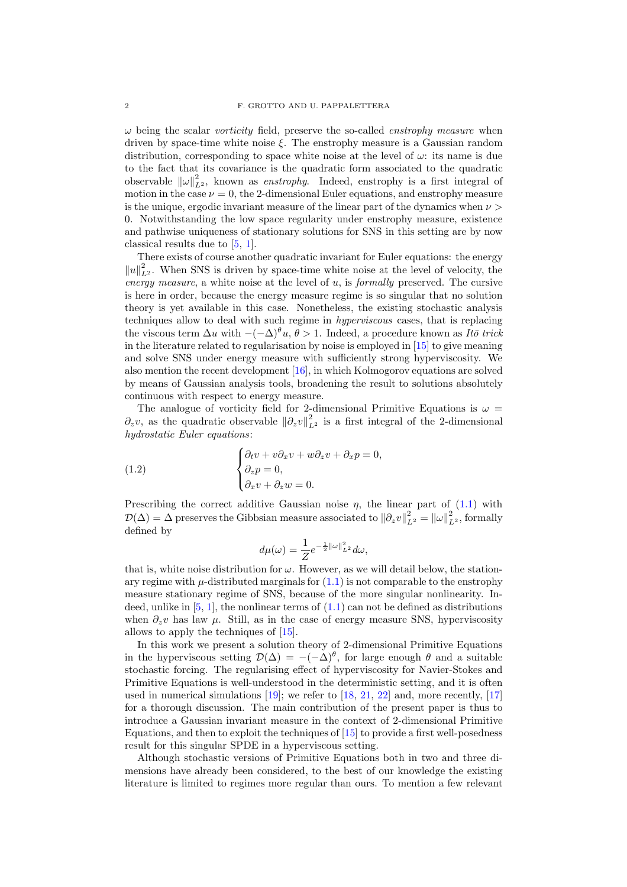ω being the scalar *vorticity* field, preserve the so-called *enstrophy measure* when driven by space-time white noise  $\xi$ . The enstrophy measure is a Gaussian random distribution, corresponding to space white noise at the level of  $\omega$ : its name is due to the fact that its covariance is the quadratic form associated to the quadratic observable  $\|\omega\|_{L^2}^2$ , known as *enstrophy*. Indeed, enstrophy is a first integral of motion in the case  $\nu = 0$ , the 2-dimensional Euler equations, and enstrophy measure is the unique, ergodic invariant measure of the linear part of the dynamics when  $\nu >$ 0. Notwithstanding the low space regularity under enstrophy measure, existence and pathwise uniqueness of stationary solutions for SNS in this setting are by now classical results due to [\[5,](#page-13-1) [1\]](#page-13-2).

There exists of course another quadratic invariant for Euler equations: the energy  $||u||_{L^2}^2$ . When SNS is driven by space-time white noise at the level of velocity, the *energy measure*, a white noise at the level of u, is *formally* preserved. The cursive is here in order, because the energy measure regime is so singular that no solution theory is yet available in this case. Nonetheless, the existing stochastic analysis techniques allow to deal with such regime in *hyperviscous* cases, that is replacing the viscous term  $\Delta u$  with  $-(-\Delta)^{\theta}u, \theta > 1$ . Indeed, a procedure known as *Itō trick* in the literature related to regularisation by noise is employed in [\[15\]](#page-13-0) to give meaning and solve SNS under energy measure with sufficiently strong hyperviscosity. We also mention the recent development [\[16\]](#page-13-3), in which Kolmogorov equations are solved by means of Gaussian analysis tools, broadening the result to solutions absolutely continuous with respect to energy measure.

The analogue of vorticity field for 2-dimensional Primitive Equations is  $\omega =$  $\partial_z v$ , as the quadratic observable  $\|\partial_z v\|_{L^2}^2$  is a first integral of the 2-dimensional *hydrostatic Euler equations*:

(1.2) 
$$
\begin{cases} \partial_t v + v \partial_x v + w \partial_z v + \partial_x p = 0, \\ \partial_z p = 0, \\ \partial_x v + \partial_z w = 0. \end{cases}
$$

Prescribing the correct additive Gaussian noise  $\eta$ , the linear part of [\(1.1\)](#page-0-0) with  $\mathcal{D}(\Delta) = \Delta$  preserves the Gibbsian measure associated to  $\|\partial_z v\|_{L^2}^2 = \|\omega\|_{L^2}^2$ , formally defined by

<span id="page-1-0"></span>
$$
d\mu(\omega) = \frac{1}{Z}e^{-\frac{1}{2}||\omega||_{L^2}^2}d\omega,
$$

that is, white noise distribution for  $\omega$ . However, as we will detail below, the stationary regime with  $\mu$ -distributed marginals for  $(1.1)$  is not comparable to the enstrophy measure stationary regime of SNS, because of the more singular nonlinearity. Indeed, unlike in  $[5, 1]$  $[5, 1]$ , the nonlinear terms of  $(1.1)$  can not be defined as distributions when  $\partial_z v$  has law  $\mu$ . Still, as in the case of energy measure SNS, hyperviscosity allows to apply the techniques of [\[15\]](#page-13-0).

In this work we present a solution theory of 2-dimensional Primitive Equations in the hyperviscous setting  $\mathcal{D}(\Delta) = -(-\Delta)^{\theta}$ , for large enough  $\theta$  and a suitable stochastic forcing. The regularising effect of hyperviscosity for Navier-Stokes and Primitive Equations is well-understood in the deterministic setting, and it is often used in numerical simulations [\[19\]](#page-13-4); we refer to [\[18,](#page-13-5) [21,](#page-13-6) [22\]](#page-13-7) and, more recently, [\[17\]](#page-13-8) for a thorough discussion. The main contribution of the present paper is thus to introduce a Gaussian invariant measure in the context of 2-dimensional Primitive Equations, and then to exploit the techniques of [\[15\]](#page-13-0) to provide a first well-posedness result for this singular SPDE in a hyperviscous setting.

Although stochastic versions of Primitive Equations both in two and three dimensions have already been considered, to the best of our knowledge the existing literature is limited to regimes more regular than ours. To mention a few relevant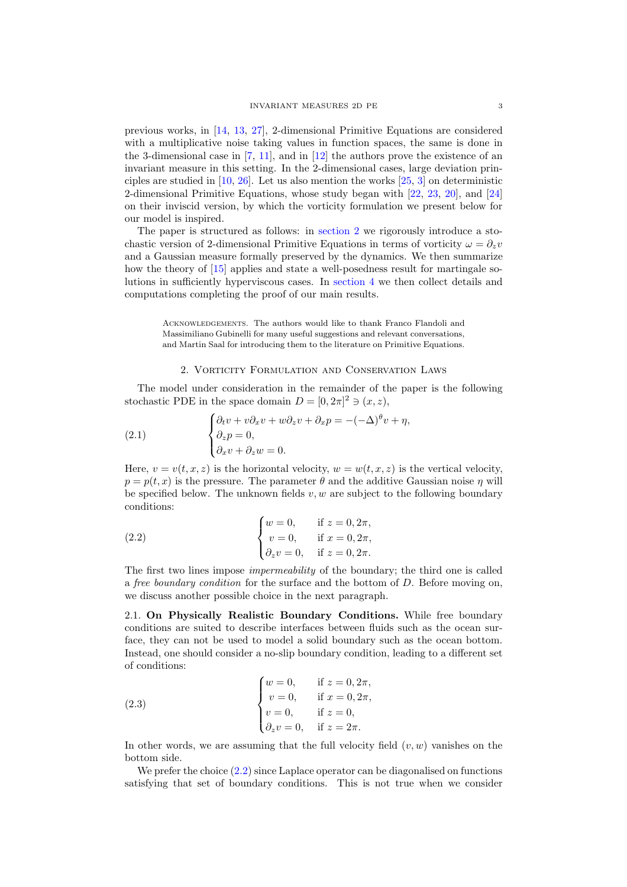previous works, in [\[14,](#page-13-9) [13,](#page-13-10) [27\]](#page-14-0), 2-dimensional Primitive Equations are considered with a multiplicative noise taking values in function spaces, the same is done in the 3-dimensional case in [\[7,](#page-13-11) [11\]](#page-13-12), and in [\[12\]](#page-13-13) the authors prove the existence of an invariant measure in this setting. In the 2-dimensional cases, large deviation principles are studied in [\[10,](#page-13-14) [26\]](#page-13-15). Let us also mention the works [\[25,](#page-13-16) [3\]](#page-13-17) on deterministic 2-dimensional Primitive Equations, whose study began with [\[22,](#page-13-7) [23,](#page-13-18) [20\]](#page-13-19), and [\[24\]](#page-13-20) on their inviscid version, by which the vorticity formulation we present below for our model is inspired.

The paper is structured as follows: in [section 2](#page-2-0) we rigorously introduce a stochastic version of 2-dimensional Primitive Equations in terms of vorticity  $\omega = \partial_z v$ and a Gaussian measure formally preserved by the dynamics. We then summarize how the theory of [\[15\]](#page-13-0) applies and state a well-posedness result for martingale solutions in sufficiently hyperviscous cases. In [section 4](#page-9-0) we then collect details and computations completing the proof of our main results.

Acknowledgements. The authors would like to thank Franco Flandoli and Massimiliano Gubinelli for many useful suggestions and relevant conversations, and Martin Saal for introducing them to the literature on Primitive Equations.

#### <span id="page-2-3"></span>2. Vorticity Formulation and Conservation Laws

<span id="page-2-0"></span>The model under consideration in the remainder of the paper is the following stochastic PDE in the space domain  $D = [0, 2\pi]^2 \ni (x, z)$ ,

(2.1) 
$$
\begin{cases} \partial_t v + v \partial_x v + w \partial_z v + \partial_x p = -(-\Delta)^{\theta} v + \eta, \\ \partial_z p = 0, \\ \partial_x v + \partial_z w = 0. \end{cases}
$$

Here,  $v = v(t, x, z)$  is the horizontal velocity,  $w = w(t, x, z)$  is the vertical velocity,  $p = p(t, x)$  is the pressure. The parameter  $\theta$  and the additive Gaussian noise  $\eta$  will be specified below. The unknown fields  $v, w$  are subject to the following boundary conditions:

<span id="page-2-1"></span>(2.2) 
$$
\begin{cases} w = 0, & \text{if } z = 0, 2\pi, \\ v = 0, & \text{if } x = 0, 2\pi, \\ \partial_z v = 0, & \text{if } z = 0, 2\pi. \end{cases}
$$

The first two lines impose *impermeability* of the boundary; the third one is called a *free boundary condition* for the surface and the bottom of D. Before moving on, we discuss another possible choice in the next paragraph.

<span id="page-2-4"></span>2.1. On Physically Realistic Boundary Conditions. While free boundary conditions are suited to describe interfaces between fluids such as the ocean surface, they can not be used to model a solid boundary such as the ocean bottom. Instead, one should consider a no-slip boundary condition, leading to a different set of conditions:

<span id="page-2-2"></span>(2.3) 
$$
\begin{cases} w = 0, & \text{if } z = 0, 2\pi, \\ v = 0, & \text{if } x = 0, 2\pi, \\ v = 0, & \text{if } z = 0, \\ \partial_z v = 0, & \text{if } z = 2\pi. \end{cases}
$$

In other words, we are assuming that the full velocity field  $(v, w)$  vanishes on the bottom side.

We prefer the choice  $(2.2)$  since Laplace operator can be diagonalised on functions satisfying that set of boundary conditions. This is not true when we consider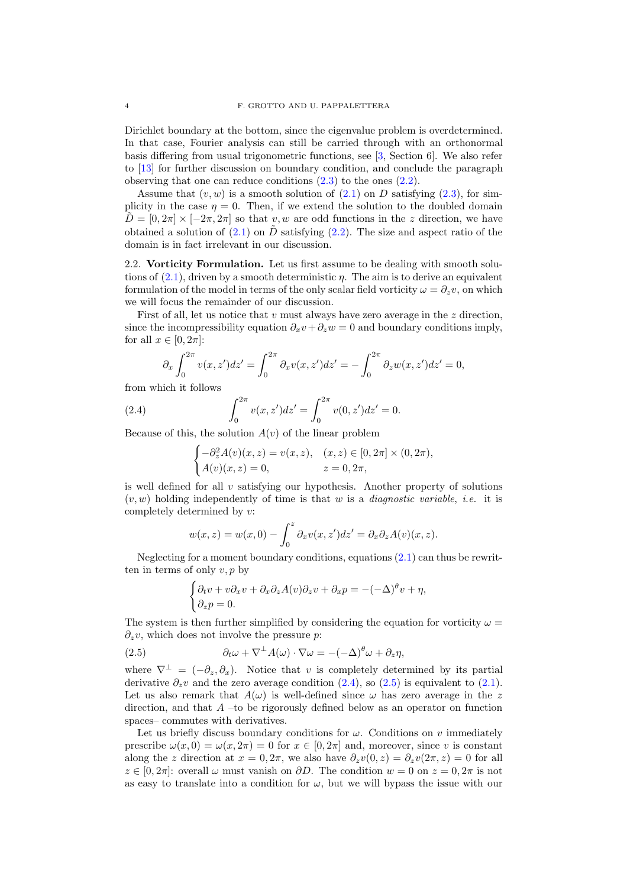Dirichlet boundary at the bottom, since the eigenvalue problem is overdetermined. In that case, Fourier analysis can still be carried through with an orthonormal basis differing from usual trigonometric functions, see [\[3,](#page-13-17) Section 6]. We also refer to [\[13\]](#page-13-10) for further discussion on boundary condition, and conclude the paragraph observing that one can reduce conditions [\(2.3\)](#page-2-2) to the ones [\(2.2\)](#page-2-1).

Assume that  $(v, w)$  is a smooth solution of  $(2.1)$  on D satisfying  $(2.3)$ , for simplicity in the case  $\eta = 0$ . Then, if we extend the solution to the doubled domain  $\tilde{D} = [0, 2\pi] \times [-2\pi, 2\pi]$  so that v, w are odd functions in the z direction, we have obtained a solution of  $(2.1)$  on  $\tilde{D}$  satisfying  $(2.2)$ . The size and aspect ratio of the domain is in fact irrelevant in our discussion.

2.2. Vorticity Formulation. Let us first assume to be dealing with smooth solutions of  $(2.1)$ , driven by a smooth deterministic  $\eta$ . The aim is to derive an equivalent formulation of the model in terms of the only scalar field vorticity  $\omega = \partial_z v$ , on which we will focus the remainder of our discussion.

First of all, let us notice that  $v$  must always have zero average in the  $z$  direction, since the incompressibility equation  $\partial_x v + \partial_z w = 0$  and boundary conditions imply, for all  $x \in [0, 2\pi]$ :

$$
\partial_x \int_0^{2\pi} v(x, z') dz' = \int_0^{2\pi} \partial_x v(x, z') dz' = - \int_0^{2\pi} \partial_z w(x, z') dz' = 0,
$$

from which it follows

(2.4) 
$$
\int_0^{2\pi} v(x, z') dz' = \int_0^{2\pi} v(0, z') dz' = 0.
$$

Because of this, the solution  $A(v)$  of the linear problem

<span id="page-3-0"></span>
$$
\begin{cases}\n-\partial_z^2 A(v)(x, z) = v(x, z), & (x, z) \in [0, 2\pi] \times (0, 2\pi), \\
A(v)(x, z) = 0, & z = 0, 2\pi,\n\end{cases}
$$

is well defined for all  $v$  satisfying our hypothesis. Another property of solutions (v, w) holding independently of time is that w is a *diagnostic variable*, *i.e.* it is completely determined by v:

$$
w(x, z) = w(x, 0) - \int_0^z \partial_x v(x, z') dz' = \partial_x \partial_z A(v)(x, z).
$$

Neglecting for a moment boundary conditions, equations  $(2.1)$  can thus be rewritten in terms of only  $v, p$  by

<span id="page-3-1"></span>
$$
\begin{cases} \partial_t v + v \partial_x v + \partial_x \partial_z A(v) \partial_z v + \partial_x p = -(-\Delta)^{\theta} v + \eta, \\ \partial_z p = 0. \end{cases}
$$

The system is then further simplified by considering the equation for vorticity  $\omega =$  $\partial_z v$ , which does not involve the pressure p:

(2.5) 
$$
\partial_t \omega + \nabla^{\perp} A(\omega) \cdot \nabla \omega = -(-\Delta)^{\theta} \omega + \partial_z \eta,
$$

where  $\nabla^{\perp} = (-\partial_z, \partial_x)$ . Notice that v is completely determined by its partial derivative  $\partial_z v$  and the zero average condition [\(2.4\)](#page-3-0), so [\(2.5\)](#page-3-1) is equivalent to [\(2.1\)](#page-2-3). Let us also remark that  $A(\omega)$  is well-defined since  $\omega$  has zero average in the z direction, and that  $A$  –to be rigorously defined below as an operator on function spaces– commutes with derivatives.

Let us briefly discuss boundary conditions for  $\omega$ . Conditions on v immediately prescribe  $\omega(x, 0) = \omega(x, 2\pi) = 0$  for  $x \in [0, 2\pi]$  and, moreover, since v is constant along the z direction at  $x = 0, 2\pi$ , we also have  $\partial_z v(0, z) = \partial_z v(2\pi, z) = 0$  for all  $z \in [0, 2\pi]$ : overall  $\omega$  must vanish on  $\partial D$ . The condition  $w = 0$  on  $z = 0, 2\pi$  is not as easy to translate into a condition for  $\omega$ , but we will bypass the issue with our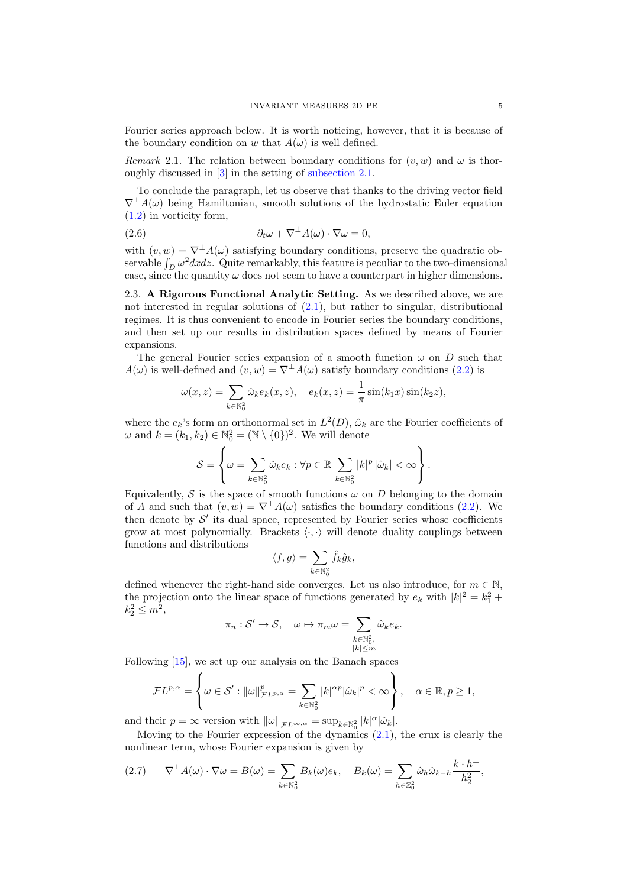Fourier series approach below. It is worth noticing, however, that it is because of the boundary condition on w that  $A(\omega)$  is well defined.

*Remark* 2.1. The relation between boundary conditions for  $(v, w)$  and  $\omega$  is thoroughly discussed in [\[3\]](#page-13-17) in the setting of [subsection 2.1.](#page-2-4)

To conclude the paragraph, let us observe that thanks to the driving vector field  $\nabla^{\perp}A(\omega)$  being Hamiltonian, smooth solutions of the hydrostatic Euler equation [\(1.2\)](#page-1-0) in vorticity form,

(2.6) 
$$
\partial_t \omega + \nabla^{\perp} A(\omega) \cdot \nabla \omega = 0,
$$

with  $(v, w) = \nabla^{\perp} A(\omega)$  satisfying boundary conditions, preserve the quadratic observable  $\int_D \omega^2 dx dz$ . Quite remarkably, this feature is peculiar to the two-dimensional case, since the quantity  $\omega$  does not seem to have a counterpart in higher dimensions.

2.3. A Rigorous Functional Analytic Setting. As we described above, we are not interested in regular solutions of [\(2.1\)](#page-2-3), but rather to singular, distributional regimes. It is thus convenient to encode in Fourier series the boundary conditions, and then set up our results in distribution spaces defined by means of Fourier expansions.

The general Fourier series expansion of a smooth function  $\omega$  on D such that  $A(\omega)$  is well-defined and  $(v, w) = \nabla^{\perp} A(\omega)$  satisfy boundary conditions [\(2.2\)](#page-2-1) is

$$
\omega(x, z) = \sum_{k \in \mathbb{N}_0^2} \hat{\omega}_k e_k(x, z), \quad e_k(x, z) = \frac{1}{\pi} \sin(k_1 x) \sin(k_2 z),
$$

where the  $e_k$ 's form an orthonormal set in  $L^2(D)$ ,  $\hat{\omega}_k$  are the Fourier coefficients of  $\omega$  and  $k = (k_1, k_2) \in \mathbb{N}_0^2 = (\mathbb{N} \setminus \{0\})^2$ . We will denote

$$
\mathcal{S} = \left\{ \omega = \sum_{k \in \mathbb{N}_0^2} \hat{\omega}_k e_k : \forall p \in \mathbb{R} \sum_{k \in \mathbb{N}_0^2} |k|^p |\hat{\omega}_k| < \infty \right\}.
$$

Equivalently, S is the space of smooth functions  $\omega$  on D belonging to the domain of A and such that  $(v, w) = \nabla^{\perp} A(\omega)$  satisfies the boundary conditions [\(2.2\)](#page-2-1). We then denote by  $S'$  its dual space, represented by Fourier series whose coefficients grow at most polynomially. Brackets  $\langle \cdot, \cdot \rangle$  will denote duality couplings between functions and distributions

$$
\langle f,g\rangle=\sum_{k\in\mathbb{N}_0^2}\hat{f}_k\hat{g}_k,
$$

defined whenever the right-hand side converges. Let us also introduce, for  $m \in \mathbb{N}$ , the projection onto the linear space of functions generated by  $e_k$  with  $|k|^2 = k_1^2 + \cdots$  $k_2^2 \le m^2$ ,

$$
\pi_n: \mathcal{S}' \to \mathcal{S}, \quad \omega \mapsto \pi_m \omega = \sum_{\substack{k \in \mathbb{N}_0^2, \\ |k| \le m}} \hat{\omega}_k e_k.
$$

Following [\[15\]](#page-13-0), we set up our analysis on the Banach spaces

$$
\mathcal{F}L^{p,\alpha} = \left\{ \omega \in \mathcal{S}' : ||\omega||_{\mathcal{F}L^{p,\alpha}}^p = \sum_{k \in \mathbb{N}_0^2} |k|^{\alpha p} |\hat{\omega}_k|^p < \infty \right\}, \quad \alpha \in \mathbb{R}, p \ge 1,
$$

and their  $p = \infty$  version with  $\|\omega\|_{\mathcal{F}L^{\infty,\alpha}} = \sup_{k \in \mathbb{N}_0^2} |k|^{\alpha} |\hat{\omega}_k|.$ 

Moving to the Fourier expression of the dynamics  $(2.1)$ , the crux is clearly the nonlinear term, whose Fourier expansion is given by

<span id="page-4-0"></span>
$$
(2.7) \qquad \nabla^{\perp} A(\omega) \cdot \nabla \omega = B(\omega) = \sum_{k \in \mathbb{N}_0^2} B_k(\omega) e_k, \quad B_k(\omega) = \sum_{h \in \mathbb{Z}_0^2} \hat{\omega}_h \hat{\omega}_{k-h} \frac{k \cdot h^{\perp}}{h_2^2},
$$

⊥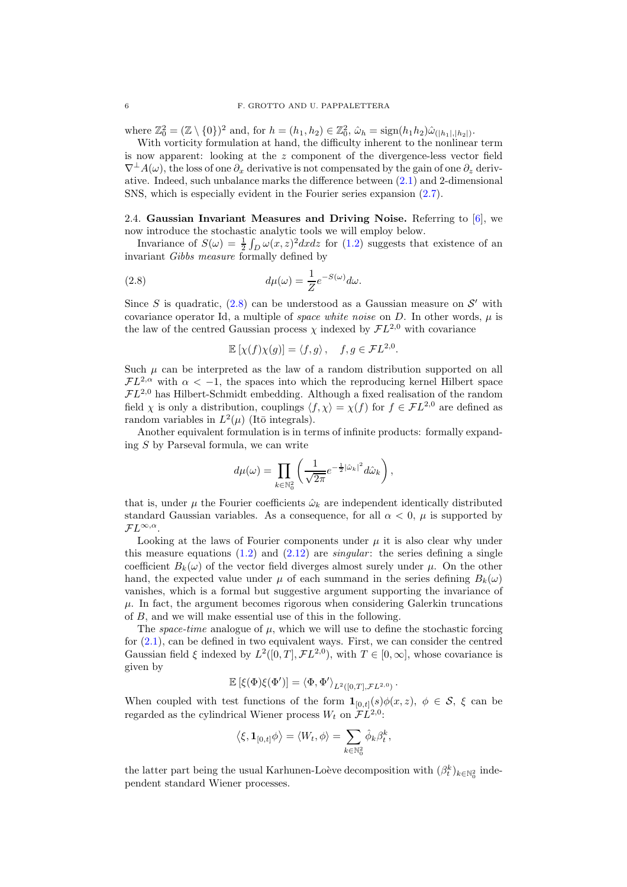where  $\mathbb{Z}_0^2 = (\mathbb{Z} \setminus \{0\})^2$  and, for  $h = (h_1, h_2) \in \mathbb{Z}_0^2$ ,  $\hat{\omega}_h = \text{sign}(h_1 h_2) \hat{\omega}_{(|h_1|, |h_2|)}$ .

With vorticity formulation at hand, the difficulty inherent to the nonlinear term is now apparent: looking at the z component of the divergence-less vector field  $\nabla^{\perp}A(\omega)$ , the loss of one  $\partial_{\tau}$  derivative is not compensated by the gain of one  $\partial_{\tau}$  derivative. Indeed, such unbalance marks the difference between [\(2.1\)](#page-2-3) and 2-dimensional SNS, which is especially evident in the Fourier series expansion [\(2.7\)](#page-4-0).

2.4. Gaussian Invariant Measures and Driving Noise. Referring to [\[6\]](#page-13-21), we now introduce the stochastic analytic tools we will employ below.

Invariance of  $S(\omega) = \frac{1}{2} \int_D \omega(x, z)^2 dx dz$  for [\(1.2\)](#page-1-0) suggests that existence of an invariant *Gibbs measure* formally defined by

(2.8) 
$$
d\mu(\omega) = \frac{1}{Z}e^{-S(\omega)}d\omega.
$$

Since S is quadratic,  $(2.8)$  can be understood as a Gaussian measure on S' with covariance operator Id, a multiple of *space white noise* on  $D$ . In other words,  $\mu$  is the law of the centred Gaussian process  $\chi$  indexed by  $\mathcal{F}L^{2,0}$  with covariance

<span id="page-5-0"></span>
$$
\mathbb{E}\left[\chi(f)\chi(g)\right] = \langle f, g \rangle, \quad f, g \in \mathcal{F}L^{2,0}.
$$

Such  $\mu$  can be interpreted as the law of a random distribution supported on all  $\mathcal{F}L^{2,\alpha}$  with  $\alpha < -1$ , the spaces into which the reproducing kernel Hilbert space  $FL^{2,0}$  has Hilbert-Schmidt embedding. Although a fixed realisation of the random field  $\chi$  is only a distribution, couplings  $\langle f, \chi \rangle = \chi(f)$  for  $f \in \mathcal{F}L^{2,0}$  are defined as random variables in  $L^2(\mu)$  (Itō integrals).

Another equivalent formulation is in terms of infinite products: formally expanding S by Parseval formula, we can write

$$
d\mu(\omega) = \prod_{k \in \mathbb{N}_0^2} \left( \frac{1}{\sqrt{2\pi}} e^{-\frac{1}{2}|\hat{\omega}_k|^2} d\hat{\omega}_k \right),
$$

that is, under  $\mu$  the Fourier coefficients  $\hat{\omega}_k$  are independent identically distributed standard Gaussian variables. As a consequence, for all  $\alpha < 0$ ,  $\mu$  is supported by  $\mathcal{F}L^{\infty,\alpha}$ .

Looking at the laws of Fourier components under  $\mu$  it is also clear why under this measure equations  $(1.2)$  and  $(2.12)$  are *singular*: the series defining a single coefficient  $B_k(\omega)$  of the vector field diverges almost surely under  $\mu$ . On the other hand, the expected value under  $\mu$  of each summand in the series defining  $B_k(\omega)$ vanishes, which is a formal but suggestive argument supporting the invariance of  $\mu$ . In fact, the argument becomes rigorous when considering Galerkin truncations of B, and we will make essential use of this in the following.

The *space-time* analogue of  $\mu$ , which we will use to define the stochastic forcing for [\(2.1\)](#page-2-3), can be defined in two equivalent ways. First, we can consider the centred Gaussian field  $\xi$  indexed by  $L^2([0,T], \mathcal{F}L^{2,0})$ , with  $T \in [0,\infty]$ , whose covariance is given by

$$
\mathbb{E}\left[\xi(\Phi)\xi(\Phi')\right] = \left\langle \Phi, \Phi'\right\rangle_{L^2([0,T],\mathcal{F}L^{2,0})}.
$$

When coupled with test functions of the form  $\mathbf{1}_{[0,t]}(s)\phi(x, z)$ ,  $\phi \in \mathcal{S}$ ,  $\xi$  can be regarded as the cylindrical Wiener process  $W_t$  on  $\overline{\mathcal{F}}L^{2,0}$ :

$$
\left\langle \xi, \mathbf{1}_{[0,t]}\phi \right\rangle = \left\langle W_t, \phi \right\rangle = \sum_{k \in \mathbb{N}_0^2} \hat{\phi}_k \beta_t^k,
$$

the latter part being the usual Karhunen-Loève decomposition with  $(\beta_t^k)_{k \in \mathbb{N}_0^2}$  independent standard Wiener processes.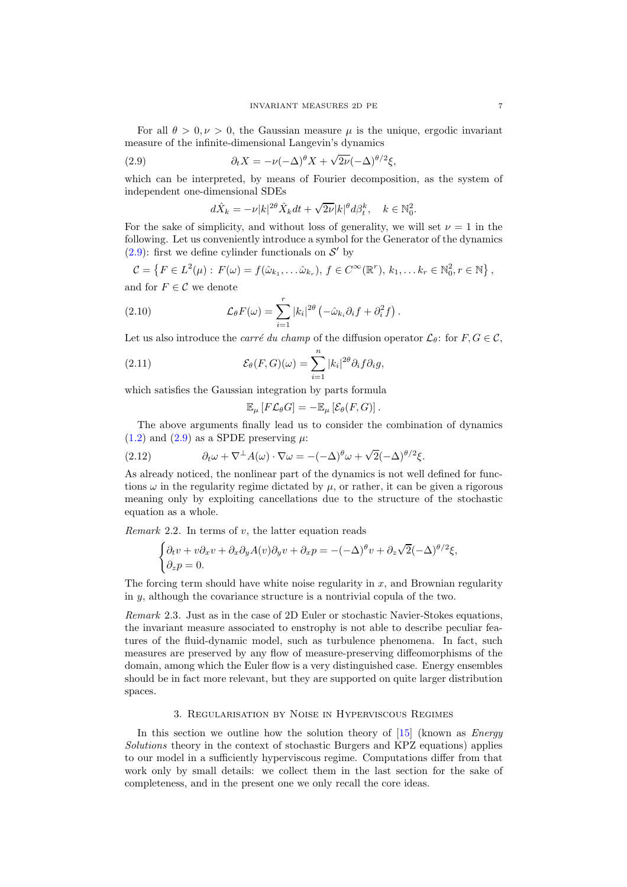For all  $\theta > 0, \nu > 0$ , the Gaussian measure  $\mu$  is the unique, ergodic invariant measure of the infinite-dimensional Langevin's dynamics

(2.9) 
$$
\partial_t X = -\nu (-\Delta)^\theta X + \sqrt{2\nu} (-\Delta)^{\theta/2} \xi,
$$

which can be interpreted, by means of Fourier decomposition, as the system of independent one-dimensional SDEs

<span id="page-6-1"></span>
$$
d\hat{X}_k=-\nu|k|^{2\theta}\hat{X}_kdt+\sqrt{2\nu}|k|^\theta d\beta_t^k,\quad k\in\mathbb{N}_0^2.
$$

For the sake of simplicity, and without loss of generality, we will set  $\nu = 1$  in the following. Let us conveniently introduce a symbol for the Generator of the dynamics [\(2.9\)](#page-6-1): first we define cylinder functionals on  $\mathcal{S}'$  by

$$
\mathcal{C} = \left\{ F \in L^2(\mu) : F(\omega) = f(\hat{\omega}_{k_1}, \dots \hat{\omega}_{k_r}), f \in C^{\infty}(\mathbb{R}^r), k_1, \dots k_r \in \mathbb{N}_0^2, r \in \mathbb{N} \right\},\
$$

and for  $F \in \mathcal{C}$  we denote

(2.10) 
$$
\mathcal{L}_{\theta} F(\omega) = \sum_{i=1}^r |k_i|^{2\theta} \left( -\hat{\omega}_{k_i} \partial_i f + \partial_i^2 f \right).
$$

Let us also introduce the *carré du champ* of the diffusion operator  $\mathcal{L}_{\theta}$ : for  $F, G \in \mathcal{C}$ ,

(2.11) 
$$
\mathcal{E}_{\theta}(F,G)(\omega) = \sum_{i=1}^{n} |k_i|^{2\theta} \partial_i f \partial_i g,
$$

which satisfies the Gaussian integration by parts formula

<span id="page-6-2"></span><span id="page-6-0"></span>
$$
\mathbb{E}_{\mu}\left[F\mathcal{L}_{\theta}G\right]=-\mathbb{E}_{\mu}\left[\mathcal{E}_{\theta}(F,G)\right].
$$

The above arguments finally lead us to consider the combination of dynamics  $(1.2)$  and  $(2.9)$  as a SPDE preserving  $\mu$ :

(2.12) 
$$
\partial_t \omega + \nabla^{\perp} A(\omega) \cdot \nabla \omega = -(-\Delta)^{\theta} \omega + \sqrt{2} (-\Delta)^{\theta/2} \xi.
$$

As already noticed, the nonlinear part of the dynamics is not well defined for functions  $\omega$  in the regularity regime dictated by  $\mu$ , or rather, it can be given a rigorous meaning only by exploiting cancellations due to the structure of the stochastic equation as a whole.

*Remark* 2.2*.* In terms of v, the latter equation reads

$$
\begin{cases} \partial_t v + v \partial_x v + \partial_x \partial_y A(v) \partial_y v + \partial_x p = -(-\Delta)^{\theta} v + \partial_z \sqrt{2} (-\Delta)^{\theta/2} \xi, \\ \partial_z p = 0. \end{cases}
$$

The forcing term should have white noise regularity in  $x$ , and Brownian regularity in  $\gamma$ , although the covariance structure is a nontrivial copula of the two.

*Remark* 2.3*.* Just as in the case of 2D Euler or stochastic Navier-Stokes equations, the invariant measure associated to enstrophy is not able to describe peculiar features of the fluid-dynamic model, such as turbulence phenomena. In fact, such measures are preserved by any flow of measure-preserving diffeomorphisms of the domain, among which the Euler flow is a very distinguished case. Energy ensembles should be in fact more relevant, but they are supported on quite larger distribution spaces.

#### 3. Regularisation by Noise in Hyperviscous Regimes

In this section we outline how the solution theory of [\[15\]](#page-13-0) (known as *Energy Solutions* theory in the context of stochastic Burgers and KPZ equations) applies to our model in a sufficiently hyperviscous regime. Computations differ from that work only by small details: we collect them in the last section for the sake of completeness, and in the present one we only recall the core ideas.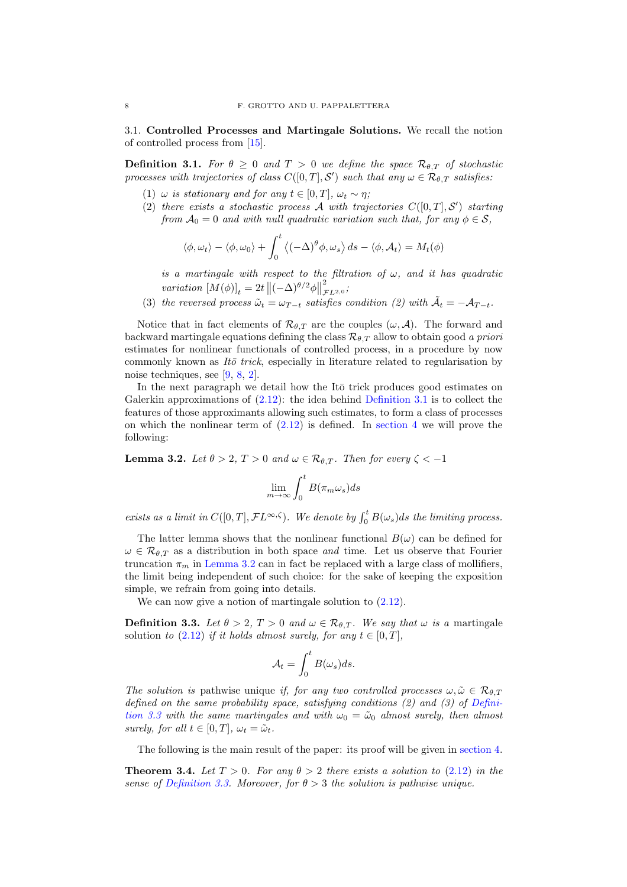3.1. Controlled Processes and Martingale Solutions. We recall the notion of controlled process from [\[15\]](#page-13-0).

<span id="page-7-0"></span>**Definition 3.1.** *For*  $\theta \geq 0$  *and*  $T > 0$  *we define the space*  $\mathcal{R}_{\theta,T}$  *of stochastic processes with trajectories of class*  $C([0,T], \mathcal{S}')$  *such that any*  $\omega \in \mathcal{R}_{\theta, T}$  *satisfies:* 

- (1)  $\omega$  *is stationary and for any*  $t \in [0, T]$ *,*  $\omega_t \sim \eta$ *;*
- (2) *there exists a stochastic process*  $A$  *with trajectories*  $C([0, T], S')$  *starting from*  $A_0 = 0$  *and with null quadratic variation such that, for any*  $\phi \in S$ ,

$$
\langle \phi, \omega_t \rangle - \langle \phi, \omega_0 \rangle + \int_0^t \langle (-\Delta)^\theta \phi, \omega_s \rangle ds - \langle \phi, \mathcal{A}_t \rangle = M_t(\phi)
$$

*is a martingale with respect to the filtration of* ω*, and it has quadratic variation*  $[M(\phi)]_t = 2t \left\| (-\Delta)^{\theta/2} \phi \right\|$ 2 FL2,<sup>0</sup> *;*

(3) *the reversed process*  $\tilde{\omega}_t = \omega_{T-t}$  *satisfies condition (2) with*  $\tilde{\mathcal{A}}_t = -\mathcal{A}_{T-t}$ *.* 

Notice that in fact elements of  $\mathcal{R}_{\theta,T}$  are the couples  $(\omega, \mathcal{A})$ . The forward and backward martingale equations defining the class  $\mathcal{R}_{\theta,T}$  allow to obtain good *a priori* estimates for nonlinear functionals of controlled process, in a procedure by now commonly known as *Itō trick*, especially in literature related to regularisation by noise techniques, see [\[9,](#page-13-22) [8,](#page-13-23) [2\]](#page-13-24).

In the next paragraph we detail how the It $\bar{o}$  trick produces good estimates on Galerkin approximations of  $(2.12)$ : the idea behind [Definition 3.1](#page-7-0) is to collect the features of those approximants allowing such estimates, to form a class of processes on which the nonlinear term of  $(2.12)$  is defined. In [section 4](#page-9-0) we will prove the following:

<span id="page-7-1"></span>**Lemma 3.2.** *Let*  $\theta > 2$ ,  $T > 0$  *and*  $\omega \in \mathcal{R}_{\theta,T}$ *. Then for every*  $\zeta < -1$ 

$$
\lim_{m\to\infty}\int_0^tB(\pi_m\omega_s)ds
$$

*exists as a limit in*  $C([0,T], \mathcal{F}L^{\infty,\zeta})$ . We denote by  $\int_0^t B(\omega_s)ds$  the limiting process.

The latter lemma shows that the nonlinear functional  $B(\omega)$  can be defined for  $\omega \in \mathcal{R}_{\theta,T}$  as a distribution in both space *and* time. Let us observe that Fourier truncation  $\pi_m$  in [Lemma 3.2](#page-7-1) can in fact be replaced with a large class of mollifiers. the limit being independent of such choice: for the sake of keeping the exposition simple, we refrain from going into details.

We can now give a notion of martingale solution to  $(2.12)$ .

<span id="page-7-2"></span>**Definition 3.3.** Let  $\theta > 2$ ,  $T > 0$  and  $\omega \in \mathcal{R}_{\theta,T}$ . We say that  $\omega$  is a martingale solution *to*  $(2.12)$  *if it holds almost surely, for any*  $t \in [0, T]$ *,* 

$$
\mathcal{A}_t = \int_0^t B(\omega_s)ds.
$$

*The solution is* pathwise unique *if, for any two controlled processes*  $\omega, \tilde{\omega} \in \mathcal{R}_{\theta,T}$ *defined [on the same probability space, satisfying conditions \(2\) and \(3\) of](#page-7-2) Definition 3.3 with the same martingales and with*  $\omega_0 = \tilde{\omega}_0$  *almost surely, then almost surely, for all*  $t \in [0, T]$ *,*  $\omega_t = \tilde{\omega}_t$ *.* 

The following is the main result of the paper: its proof will be given in [section 4.](#page-9-0)

<span id="page-7-3"></span>**Theorem 3.4.** Let  $T > 0$ . For any  $\theta > 2$  there exists a solution to [\(2.12\)](#page-6-0) in the *sense of [Definition 3.3.](#page-7-2) Moreover, for*  $\theta > 3$  *the solution is pathwise unique.*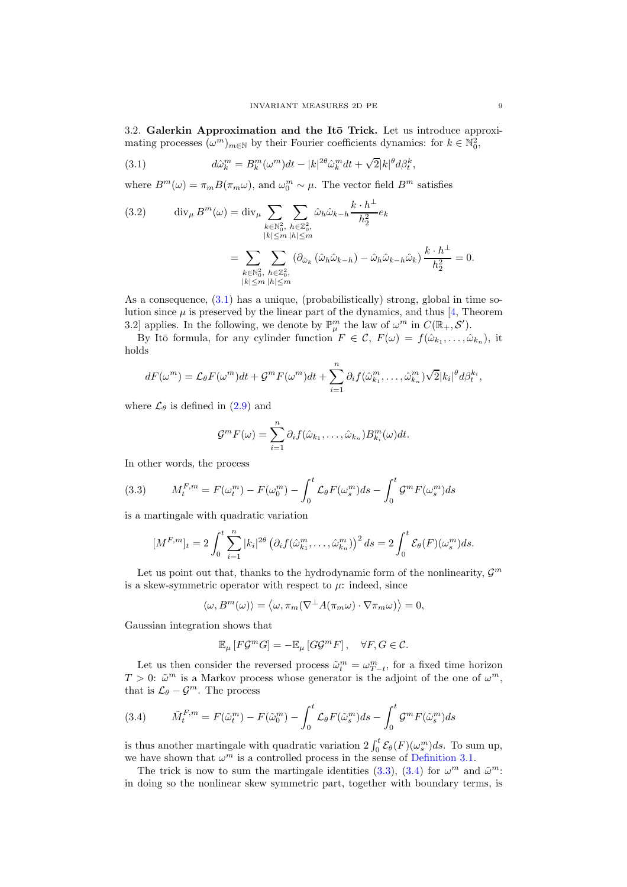3.2. Galerkin Approximation and the Itō Trick. Let us introduce approximating processes  $(\omega^m)_{m \in \mathbb{N}}$  by their Fourier coefficients dynamics: for  $k \in \mathbb{N}_0^2$ ,

<span id="page-8-0"></span>(3.1) 
$$
d\hat{\omega}_k^m = B_k^m(\omega^m)dt - |k|^{2\theta}\hat{\omega}_k^m dt + \sqrt{2}|k|^{\theta}d\beta_t^k,
$$

where  $B^m(\omega) = \pi_m B(\pi_m \omega)$ , and  $\omega_0^m \sim \mu$ . The vector field  $B^m$  satisfies

(3.2) 
$$
\operatorname{div}_{\mu} B^{m}(\omega) = \operatorname{div}_{\mu} \sum_{k \in \mathbb{N}_{0}^{2}, \ h \in \mathbb{Z}_{0}^{2}, \atop |k| \leq m} \sum_{h \in \mathbb{Z}_{0}^{2}, \atop |h| \leq m} \hat{\omega}_{h} \hat{\omega}_{k-h} \frac{k \cdot h^{\perp}}{h_{2}^{2}} e_{k}
$$

$$
= \sum_{k \in \mathbb{N}_{0}^{2}, \ h \in \mathbb{Z}_{0}^{2}, \atop |k| \leq m} (\partial_{\hat{\omega}_{k}} (\hat{\omega}_{h} \hat{\omega}_{k-h}) - \hat{\omega}_{h} \hat{\omega}_{k-h} \hat{\omega}_{k}) \frac{k \cdot h^{\perp}}{h_{2}^{2}} = 0.
$$

As a consequence, [\(3.1\)](#page-8-0) has a unique, (probabilistically) strong, global in time solution since  $\mu$  is preserved by the linear part of the dynamics, and thus [\[4,](#page-13-25) Theorem 3.2] applies. In the following, we denote by  $\mathbb{P}^m_\mu$  the law of  $\omega^m$  in  $C(\mathbb{R}_+,\mathcal{S}')$ .

By Itō formula, for any cylinder function  $F \in \mathcal{C}$ ,  $F(\omega) = f(\hat{\omega}_{k_1}, \dots, \hat{\omega}_{k_n})$ , it holds

$$
dF(\omega^m) = \mathcal{L}_{\theta} F(\omega^m) dt + \mathcal{G}^m F(\omega^m) dt + \sum_{i=1}^n \partial_i f(\hat{\omega}_{k_1}^m, \dots, \hat{\omega}_{k_n}^m) \sqrt{2} |k_i|^{\theta} d\beta_t^{k_i},
$$

where  $\mathcal{L}_{\theta}$  is defined in [\(2.9\)](#page-6-1) and

$$
\mathcal{G}^m F(\omega) = \sum_{i=1}^n \partial_i f(\hat{\omega}_{k_1}, \dots, \hat{\omega}_{k_n}) B_{k_i}^m(\omega) dt.
$$

In other words, the process

<span id="page-8-1"></span>(3.3) 
$$
M_t^{F,m} = F(\omega_t^m) - F(\omega_0^m) - \int_0^t \mathcal{L}_{\theta} F(\omega_s^m) ds - \int_0^t \mathcal{G}^m F(\omega_s^m) ds
$$

is a martingale with quadratic variation

$$
[M^{F,m}]_t = 2\int_0^t \sum_{i=1}^n |k_i|^{2\theta} \left(\partial_i f(\hat{\omega}_{k_1}^m, \dots, \hat{\omega}_{k_n}^m)\right)^2 ds = 2\int_0^t \mathcal{E}_{\theta}(F)(\omega_s^m) ds.
$$

Let us point out that, thanks to the hydrodynamic form of the nonlinearity,  $\mathcal{G}^m$ is a skew-symmetric operator with respect to  $\mu$ : indeed, since

 $\langle \omega, B^m(\omega) \rangle = \langle \omega, \pi_m(\nabla^{\perp} A(\pi_m \omega) \cdot \nabla \pi_m \omega) \rangle = 0,$ 

Gaussian integration shows that

$$
\mathbb{E}_{\mu}\left[F\mathcal{G}^m G\right] = -\mathbb{E}_{\mu}\left[G\mathcal{G}^m F\right], \quad \forall F, G \in \mathcal{C}.
$$

Let us then consider the reversed process  $\tilde{\omega}_t^m = \omega_{T-t}^m$ , for a fixed time horizon  $T > 0$ :  $\tilde{\omega}^m$  is a Markov process whose generator is the adjoint of the one of  $\omega^m$ , that is  $\mathcal{L}_{\theta} - \mathcal{G}^m$ . The process

<span id="page-8-2"></span>(3.4) 
$$
\tilde{M}_t^{F,m} = F(\tilde{\omega}_t^m) - F(\tilde{\omega}_0^m) - \int_0^t \mathcal{L}_{\theta} F(\tilde{\omega}_s^m) ds - \int_0^t \mathcal{G}^m F(\tilde{\omega}_s^m) ds
$$

is thus another martingale with quadratic variation  $2 \int_0^t \mathcal{E}_{\theta}(F)(\omega_s^m) ds$ . To sum up, we have shown that  $\omega^m$  is a controlled process in the sense of [Definition 3.1.](#page-7-0)

The trick is now to sum the martingale identities [\(3.3\)](#page-8-1), [\(3.4\)](#page-8-2) for  $\omega^m$  and  $\tilde{\omega}^m$ . in doing so the nonlinear skew symmetric part, together with boundary terms, is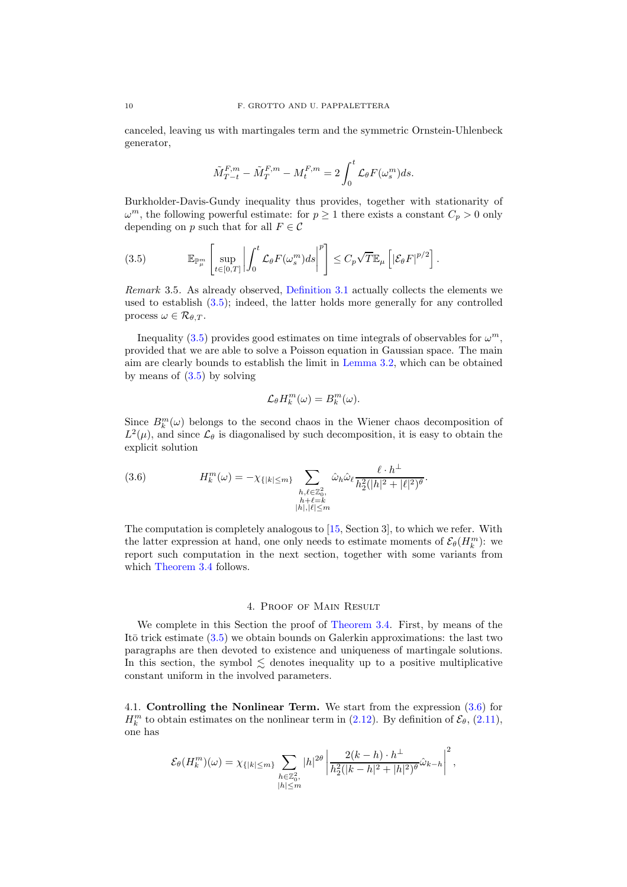canceled, leaving us with martingales term and the symmetric Ornstein-Uhlenbeck generator,

$$
\tilde{M}_{T-t}^{F,m} - \tilde{M}_T^{F,m} - M_t^{F,m} = 2 \int_0^t \mathcal{L}_{\theta} F(\omega_s^m) ds.
$$

Burkholder-Davis-Gundy inequality thus provides, together with stationarity of  $\omega^m$ , the following powerful estimate: for  $p \ge 1$  there exists a constant  $C_p > 0$  only depending on p such that for all  $F \in \mathcal{C}$ 

<span id="page-9-1"></span>(3.5) 
$$
\mathbb{E}_{\mathbb{P}^m_\mu} \left[ \sup_{t \in [0,T]} \left| \int_0^t \mathcal{L}_{\theta} F(\omega_s^m) ds \right|^p \right] \leq C_p \sqrt{T} \mathbb{E}_{\mu} \left[ |\mathcal{E}_{\theta} F|^{p/2} \right].
$$

*Remark* 3.5*.* As already observed, [Definition 3.1](#page-7-0) actually collects the elements we used to establish [\(3.5\)](#page-9-1); indeed, the latter holds more generally for any controlled process  $\omega \in \mathcal{R}_{\theta,T}$ .

Inequality [\(3.5\)](#page-9-1) provides good estimates on time integrals of observables for  $\omega^m$ , provided that we are able to solve a Poisson equation in Gaussian space. The main aim are clearly bounds to establish the limit in [Lemma 3.2,](#page-7-1) which can be obtained by means of  $(3.5)$  by solving

$$
\mathcal{L}_{\theta}H_k^m(\omega)=B_k^m(\omega).
$$

Since  $B_k^m(\omega)$  belongs to the second chaos in the Wiener chaos decomposition of  $L^2(\mu)$ , and since  $\mathcal{L}_{\theta}$  is diagonalised by such decomposition, it is easy to obtain the explicit solution

<span id="page-9-2"></span>(3.6) 
$$
H_k^m(\omega) = -\chi_{\{|k| \le m\}} \sum_{\substack{h,\ell \in \mathbb{Z}_0^2, \\ h+\ell=k \\ |h|, |\ell| \le m}} \hat{\omega}_h \hat{\omega}_\ell \frac{\ell \cdot h^\perp}{h_2^2(|h|^2 + |\ell|^2)^{\theta}}.
$$

The computation is completely analogous to [\[15,](#page-13-0) Section 3], to which we refer. With the latter expression at hand, one only needs to estimate moments of  $\mathcal{E}_{\theta}(H_k^m)$ : we report such computation in the next section, together with some variants from which [Theorem 3.4](#page-7-3) follows.

### 4. Proof of Main Result

<span id="page-9-0"></span>We complete in this Section the proof of [Theorem 3.4.](#page-7-3) First, by means of the It $\bar{\sigma}$  trick estimate [\(3.5\)](#page-9-1) we obtain bounds on Galerkin approximations: the last two paragraphs are then devoted to existence and uniqueness of martingale solutions. In this section, the symbol  $\leq$  denotes inequality up to a positive multiplicative constant uniform in the involved parameters.

<span id="page-9-3"></span>4.1. Controlling the Nonlinear Term. We start from the expression [\(3.6\)](#page-9-2) for  $H_k^m$  to obtain estimates on the nonlinear term in [\(2.12\)](#page-6-0). By definition of  $\mathcal{E}_{\theta}$ , [\(2.11\)](#page-6-2), one has

$$
\mathcal{E}_{\theta}(H_k^m)(\omega) = \chi_{\{|k| \le m\}} \sum_{\substack{h \in \mathbb{Z}_0^2, \\ |h| \le m}} |h|^{2\theta} \left| \frac{2(k-h) \cdot h^{\perp}}{h_2^2(|k-h|^2 + |h|^2)^{\theta}} \hat{\omega}_{k-h} \right|^2,
$$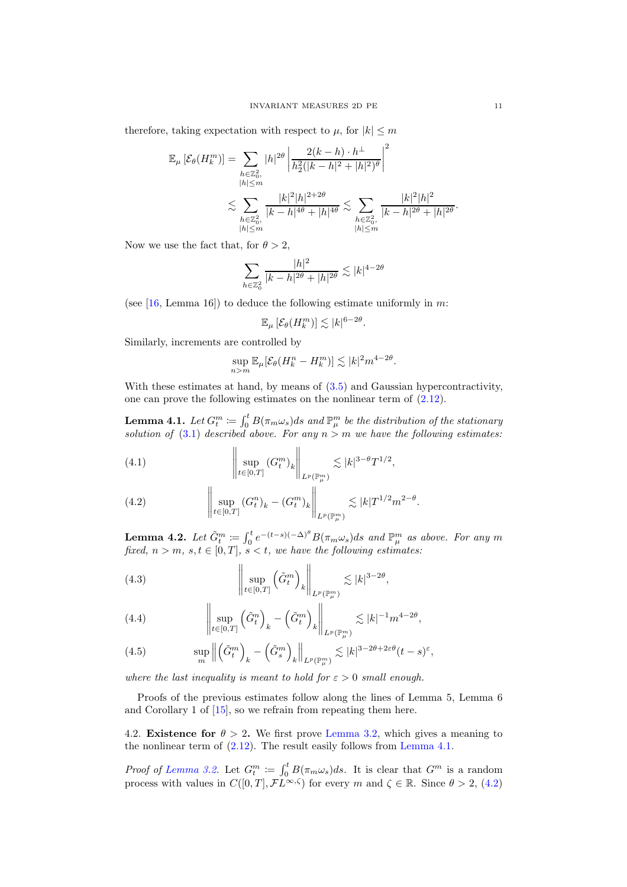therefore, taking expectation with respect to  $\mu$ , for  $|k| \leq m$ 

$$
\mathbb{E}_{\mu} \left[ \mathcal{E}_{\theta} (H_k^m) \right] = \sum_{\substack{h \in \mathbb{Z}_0^2, \\ |h| \le m}} |h|^{2\theta} \left| \frac{2(k-h) \cdot h^{\perp}}{h_2^2 (|k-h|^2 + |h|^2)^{\theta}} \right|^2
$$
  

$$
\lesssim \sum_{\substack{h \in \mathbb{Z}_0^2, \\ |h| \le m}} \frac{|k|^2 |h|^{2+2\theta}}{|k-h|^{4\theta} + |h|^{4\theta}} \lesssim \sum_{\substack{h \in \mathbb{Z}_0^2, \\ |h| \le m}} \frac{|k|^2 |h|^2}{|k-h|^{2\theta} + |h|^{2\theta}}
$$

Now we use the fact that, for  $\theta > 2$ ,

$$
\sum_{h \in \mathbb{Z}_0^2} \frac{|h|^2}{|k - h|^{2\theta} + |h|^{2\theta}} \lesssim |k|^{4 - 2\theta}
$$

(see  $[16, \text{Lemma } 16]$ ) to deduce the following estimate uniformly in m:

$$
\mathbb{E}_{\mu}\left[\mathcal{E}_{\theta}(H_k^m)\right] \lesssim |k|^{6-2\theta}
$$

.

Similarly, increments are controlled by

$$
\sup_{n>m} \mathbb{E}_{\mu}[\mathcal{E}_{\theta}(H_k^n - H_k^m)] \lesssim |k|^2 m^{4-2\theta}.
$$

With these estimates at hand, by means of  $(3.5)$  and Gaussian hypercontractivity, one can prove the following estimates on the nonlinear term of [\(2.12\)](#page-6-0).

<span id="page-10-0"></span>**Lemma 4.1.** Let  $G_t^m \coloneqq \int_0^t B(\pi_m \omega_s) ds$  and  $\mathbb{P}_{\mu}^m$  be the distribution of the stationary *solution of* [\(3.1\)](#page-8-0) *described above. For any* n > m *we have the following estimates:*

<span id="page-10-3"></span>(4.1) 
$$
\left\| \sup_{t \in [0,T]} (G_t^m)_k \right\|_{L^p(\mathbb{P}^m_\mu)} \lesssim |k|^{3-\theta} T^{1/2},
$$

<span id="page-10-1"></span>(4.2) 
$$
\left\| \sup_{t \in [0,T]} (G_t^n)_k - (G_t^m)_k \right\|_{L^p(\mathbb{P}^m_\mu)} \lesssim |k| T^{1/2} m^{2-\theta}.
$$

**Lemma 4.2.** Let  $\tilde{G}_t^m := \int_0^t e^{-(t-s)(-\Delta)^\theta} B(\pi_m \omega_s) ds$  and  $\mathbb{P}_{\mu}^m$  as above. For any  $m$ *fixed,*  $n > m$ *,*  $s, t \in [0, T]$ *,*  $s < t$ *, we have the following estimates:* 

<span id="page-10-4"></span>(4.3) 
$$
\left\| \sup_{t \in [0,T]} \left( \tilde{G}_t^m \right)_k \right\|_{L^p(\mathbb{P}^m_\mu)} \lesssim |k|^{3-2\theta},
$$

<span id="page-10-5"></span>(4.4) 
$$
\left\| \sup_{t \in [0,T]} \left( \tilde{G}_t^n \right)_k - \left( \tilde{G}_t^m \right)_k \right\|_{L^p(\mathbb{P}_{\mu}^m)} \lesssim |k|^{-1} m^{4-2\theta},
$$

<span id="page-10-2"></span>(4.5) 
$$
\sup_{m} \left\| \left( \tilde{G}_{t}^{m} \right)_{k} - \left( \tilde{G}_{s}^{m} \right)_{k} \right\|_{L^{p}(\mathbb{P}_{\mu}^{m})} \lesssim |k|^{3 - 2\theta + 2\varepsilon\theta} (t - s)^{\varepsilon},
$$

*where the last inequality is meant to hold for*  $\varepsilon > 0$  *small enough.* 

Proofs of the previous estimates follow along the lines of Lemma 5, Lemma 6 and Corollary 1 of [\[15\]](#page-13-0), so we refrain from repeating them here.

4.2. **Existence for**  $\theta > 2$ . We first prove [Lemma 3.2,](#page-7-1) which gives a meaning to the nonlinear term of [\(2.12\)](#page-6-0). The result easily follows from [Lemma 4.1.](#page-10-0)

*Proof of [Lemma 3.2.](#page-7-1)* Let  $G_t^m := \int_0^t B(\pi_m \omega_s) ds$ . It is clear that  $G^m$  is a random process with values in  $C([0, T], \mathcal{F}L^{\infty, \zeta})$  for every m and  $\zeta \in \mathbb{R}$ . Since  $\theta > 2$ , [\(4.2\)](#page-10-1)

.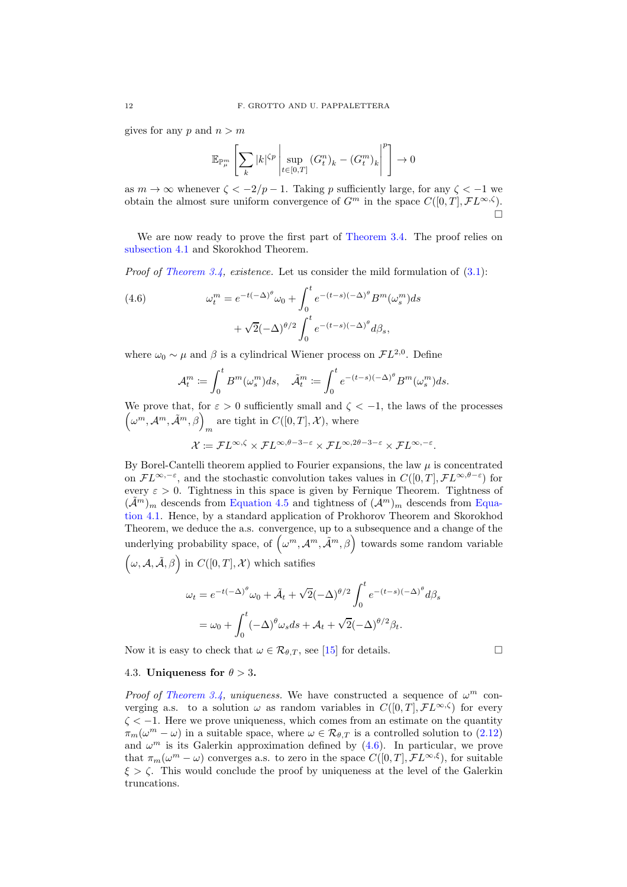gives for any p and  $n > m$ 

$$
\mathbb{E}_{\mathbb{P}_\mu^m} \left[ \sum_k |k|^{ \zeta p } \left| \sup_{t \in [0,T]} (G_t^n)_k - (G_t^m)_k \right|^p \right] \to 0
$$

as  $m \to \infty$  whenever  $\zeta < -2/p - 1$ . Taking p sufficiently large, for any  $\zeta < -1$  we obtain the almost sure uniform convergence of  $G^m$  in the space  $C([0,T], \mathcal{F}L^{\infty,\zeta})$ .  $\Box$ 

We are now ready to prove the first part of [Theorem 3.4.](#page-7-3) The proof relies on [subsection 4.1](#page-9-3) and Skorokhod Theorem.

*Proof of [Theorem 3.4,](#page-7-3) existence.* Let us consider the mild formulation of [\(3.1\)](#page-8-0):

<span id="page-11-0"></span>(4.6) 
$$
\omega_t^m = e^{-t(-\Delta)^{\theta}} \omega_0 + \int_0^t e^{-(t-s)(-\Delta)^{\theta}} B^m(\omega_s^m) ds
$$

$$
+ \sqrt{2}(-\Delta)^{\theta/2} \int_0^t e^{-(t-s)(-\Delta)^{\theta}} d\beta_s,
$$

where  $\omega_0 \sim \mu$  and  $\beta$  is a cylindrical Wiener process on  $\mathcal{F}L^{2,0}$ . Define

$$
\mathcal{A}_t^m := \int_0^t B^m(\omega_s^m)ds, \quad \tilde{\mathcal{A}}_t^m := \int_0^t e^{-(t-s)(-\Delta)^{\theta}} B^m(\omega_s^m)ds.
$$

We prove that, for  $\varepsilon > 0$  sufficiently small and  $\zeta < -1$ , the laws of the processes  $(\omega^m, \mathcal{A}^m, \tilde{\mathcal{A}}^m, \beta)$ <sub>m</sub> are tight in  $C([0, T], \mathcal{X})$ , where

$$
\mathcal{X}:=\mathcal{F} L^{\infty,\zeta}\times \mathcal{F} L^{\infty,\theta-3-\varepsilon}\times \mathcal{F} L^{\infty,2\theta-3-\varepsilon}\times \mathcal{F} L^{\infty,-\varepsilon}.
$$

By Borel-Cantelli theorem applied to Fourier expansions, the law  $\mu$  is concentrated on  $\mathcal{F}L^{\infty,-\varepsilon}$ , and the stochastic convolution takes values in  $C([0,T], \mathcal{F}L^{\infty,\theta-\varepsilon})$  for every  $\varepsilon > 0$ . Tightness in this space is given by Fernique Theorem. Tightness of  $(\tilde{\mathcal{A}}^m)_m$  $(\tilde{\mathcal{A}}^m)_m$  $(\tilde{\mathcal{A}}^m)_m$  descends from [Equation 4.5](#page-10-2) and tightness of  $(\mathcal{A}^m)_m$  descends from Equation 4.1. Hence, by a standard application of Prokhorov Theorem and Skorokhod Theorem, we deduce the a.s. convergence, up to a subsequence and a change of the underlying probability space, of  $(\omega^m, \mathcal{A}^m, \tilde{\mathcal{A}}^m, \beta)$  towards some random variable  $(\omega, \mathcal{A}, \tilde{\mathcal{A}}, \beta)$  in  $C([0, T], \mathcal{X})$  which satifies

$$
\omega_t = e^{-t(-\Delta)^{\theta}} \omega_0 + \tilde{\mathcal{A}}_t + \sqrt{2}(-\Delta)^{\theta/2} \int_0^t e^{-(t-s)(-\Delta)^{\theta}} d\beta_s
$$
  
=  $\omega_0 + \int_0^t (-\Delta)^{\theta} \omega_s ds + \mathcal{A}_t + \sqrt{2}(-\Delta)^{\theta/2} \beta_t.$ 

Now it is easy to check that  $\omega \in \mathcal{R}_{\theta,T}$ , see [\[15\]](#page-13-0) for details.

## 4.3. Uniqueness for  $\theta > 3$ .

*Proof of [Theorem 3.4,](#page-7-3) uniqueness.* We have constructed a sequence of  $\omega^m$  converging a.s. to a solution  $\omega$  as random variables in  $C([0, T], \mathcal{F}L^{\infty, \zeta})$  for every  $\zeta < -1$ . Here we prove uniqueness, which comes from an estimate on the quantity  $\pi_m(\omega^m - \omega)$  in a suitable space, where  $\omega \in \mathcal{R}_{\theta,T}$  is a controlled solution to  $(2.12)$ and  $\omega^m$  is its Galerkin approximation defined by  $(4.6)$ . In particular, we prove that  $\pi_m(\omega^m - \omega)$  converges a.s. to zero in the space  $C([0,T], \mathcal{F}L^{\infty,\xi})$ , for suitable  $\xi > \zeta$ . This would conclude the proof by uniqueness at the level of the Galerkin truncations.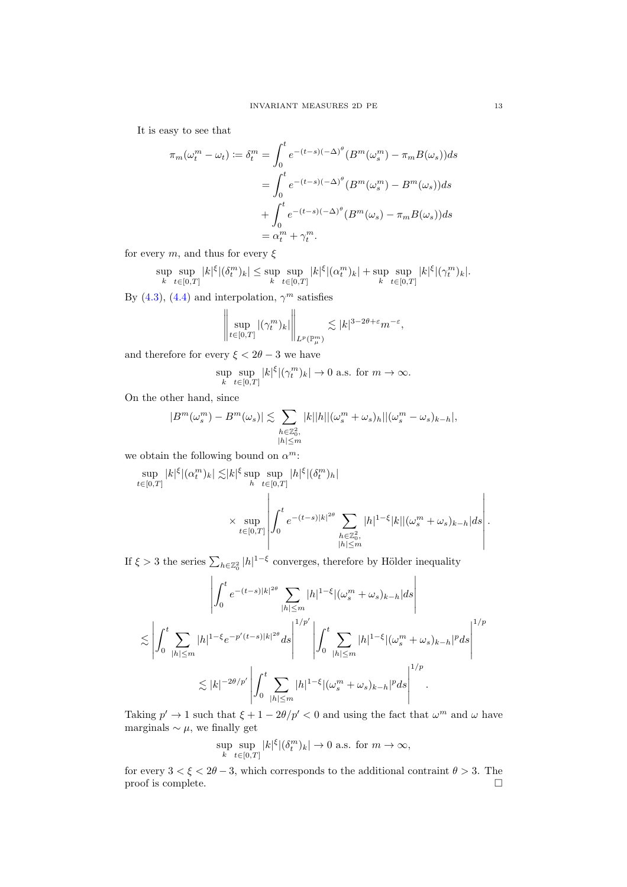It is easy to see that

$$
\pi_m(\omega_t^m - \omega_t) := \delta_t^m = \int_0^t e^{-(t-s)(-\Delta)^\theta} (B^m(\omega_s^m) - \pi_m B(\omega_s)) ds
$$
  

$$
= \int_0^t e^{-(t-s)(-\Delta)^\theta} (B^m(\omega_s^m) - B^m(\omega_s)) ds
$$
  

$$
+ \int_0^t e^{-(t-s)(-\Delta)^\theta} (B^m(\omega_s) - \pi_m B(\omega_s)) ds
$$
  

$$
= \alpha_t^m + \gamma_t^m.
$$

for every  $m$ , and thus for every  $\xi$ 

$$
\sup_{k} \sup_{t \in [0,T]} |k|^{\xi} |(\delta^{m}_{t})_{k}| \leq \sup_{k} \sup_{t \in [0,T]} |k|^{\xi} |(\alpha^{m}_{t})_{k}| + \sup_{k} \sup_{t \in [0,T]} |k|^{\xi} |(\gamma^{m}_{t})_{k}|.
$$

By [\(4.3\)](#page-10-4), [\(4.4\)](#page-10-5) and interpolation,  $\gamma^m$  satisfies

$$
\left\|\sup_{t\in[0,T]}|(\gamma_t^m)_k|\right\|_{L^p(\mathbb{P}^m_\mu)}\lesssim |k|^{3-2\theta+\varepsilon}m^{-\varepsilon},
$$

and therefore for every  $\xi < 2\theta - 3$  we have

$$
\sup_{k} \sup_{t \in [0,T]} |k|^{\xi} |(\gamma_t^m)_k| \to 0 \text{ a.s. for } m \to \infty.
$$

On the other hand, since

$$
|B^m(\omega_s^m) - B^m(\omega_s)| \lesssim \sum_{\substack{h \in \mathbb{Z}_0^2, \\ |h| \le m}} |k||h||(\omega_s^m + \omega_s)_h||(\omega_s^m - \omega_s)_{k-h}|,
$$

we obtain the following bound on  $\alpha^m$ :

$$
\sup_{t\in[0,T]}|k|^{\xi}|(\alpha_t^m)_k|\lesssim |k|^{\xi}\sup_{h}\sup_{t\in[0,T]}|h|^{\xi}|(\delta_t^m)_h|
$$
  

$$
\times \sup_{t\in[0,T]} \left|\int_0^t e^{-(t-s)|k|^{2\theta}}\sum_{\substack{h\in\mathbb{Z}_0^2,\\|h|\leq m}}|h|^{1-\xi}|k||(\omega_s^m+\omega_s)_{k-h}|ds\right|.
$$

If  $\xi > 3$  the series  $\sum_{h \in \mathbb{Z}_0^2} |h|^{1-\xi}$  converges, therefore by Hölder inequality

$$
\left| \int_0^t e^{-(t-s)|k|^{2\theta}} \sum_{|h| \le m} |h|^{1-\xi} |(\omega_s^m + \omega_s)_{k-h}| ds \right|
$$
  

$$
\lesssim \left| \int_0^t \sum_{|h| \le m} |h|^{1-\xi} e^{-p'(t-s)|k|^{2\theta}} ds \right|^{1/p'} \left| \int_0^t \sum_{|h| \le m} |h|^{1-\xi} |(\omega_s^m + \omega_s)_{k-h}|^p ds \right|^{1/p}
$$
  

$$
\lesssim |k|^{-2\theta/p'} \left| \int_0^t \sum_{|h| \le m} |h|^{1-\xi} |(\omega_s^m + \omega_s)_{k-h}|^p ds \right|^{1/p}.
$$

Taking  $p' \to 1$  such that  $\xi + 1 - 2\theta/p' < 0$  and using the fact that  $\omega^m$  and  $\omega$  have marginals  $\sim \mu$ , we finally get

$$
\sup_{k} \sup_{t \in [0,T]} |k|^{\xi} |(\delta_t^m)_k| \to 0 \text{ a.s. for } m \to \infty,
$$

for every  $3 < \xi < 2\theta - 3$ , which corresponds to the additional contraint  $\theta > 3$ . The proof is complete. proof is complete.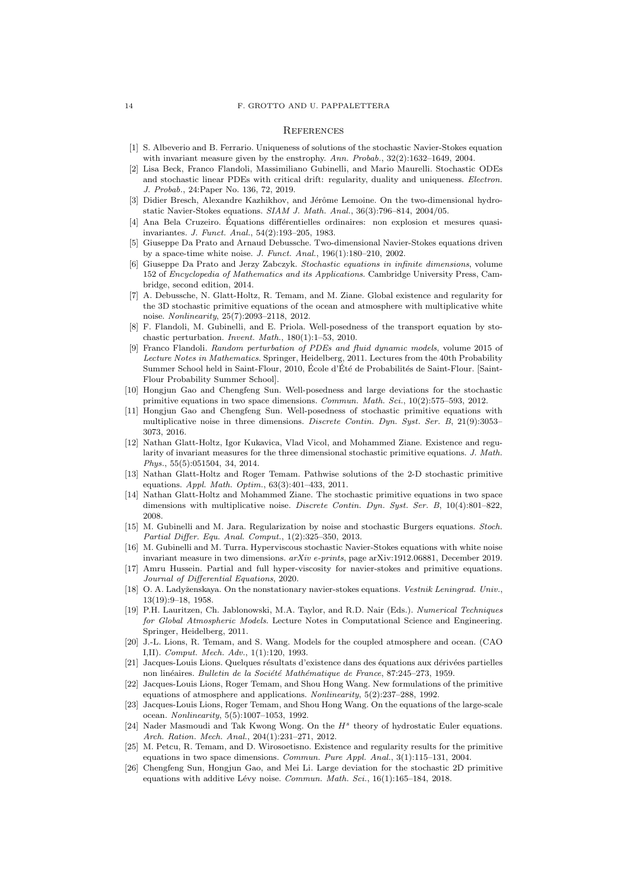#### 14 F. GROTTO AND U. PAPPALETTERA

#### **REFERENCES**

- <span id="page-13-2"></span>[1] S. Albeverio and B. Ferrario. Uniqueness of solutions of the stochastic Navier-Stokes equation with invariant measure given by the enstrophy. Ann. Probab.,  $32(2)$ :1632-1649, 2004.
- <span id="page-13-24"></span>[2] Lisa Beck, Franco Flandoli, Massimiliano Gubinelli, and Mario Maurelli. Stochastic ODEs and stochastic linear PDEs with critical drift: regularity, duality and uniqueness. Electron. J. Probab., 24:Paper No. 136, 72, 2019.
- <span id="page-13-17"></span>[3] Didier Bresch, Alexandre Kazhikhov, and Jérôme Lemoine. On the two-dimensional hydrostatic Navier-Stokes equations. SIAM J. Math. Anal., 36(3):796–814, 2004/05.
- <span id="page-13-25"></span>[4] Ana Bela Cruzeiro. Équations différentielles ordinaires: non explosion et mesures quasiinvariantes. J. Funct. Anal., 54(2):193–205, 1983.
- <span id="page-13-1"></span>[5] Giuseppe Da Prato and Arnaud Debussche. Two-dimensional Navier-Stokes equations driven by a space-time white noise. J. Funct. Anal., 196(1):180–210, 2002.
- <span id="page-13-21"></span>[6] Giuseppe Da Prato and Jerzy Zabczyk. Stochastic equations in infinite dimensions, volume 152 of Encyclopedia of Mathematics and its Applications. Cambridge University Press, Cambridge, second edition, 2014.
- <span id="page-13-11"></span>[7] A. Debussche, N. Glatt-Holtz, R. Temam, and M. Ziane. Global existence and regularity for the 3D stochastic primitive equations of the ocean and atmosphere with multiplicative white noise. Nonlinearity, 25(7):2093–2118, 2012.
- <span id="page-13-23"></span>[8] F. Flandoli, M. Gubinelli, and E. Priola. Well-posedness of the transport equation by stochastic perturbation. Invent. Math., 180(1):1–53, 2010.
- <span id="page-13-22"></span>[9] Franco Flandoli. Random perturbation of PDEs and fluid dynamic models, volume 2015 of Lecture Notes in Mathematics. Springer, Heidelberg, 2011. Lectures from the 40th Probability Summer School held in Saint-Flour, 2010, École d'Été de Probabilités de Saint-Flour. [Saint-Flour Probability Summer School].
- <span id="page-13-14"></span>[10] Hongjun Gao and Chengfeng Sun. Well-posedness and large deviations for the stochastic primitive equations in two space dimensions. Commun. Math. Sci., 10(2):575–593, 2012.
- <span id="page-13-12"></span>[11] Hongjun Gao and Chengfeng Sun. Well-posedness of stochastic primitive equations with multiplicative noise in three dimensions. Discrete Contin. Dyn. Syst. Ser. B, 21(9):3053– 3073, 2016.
- <span id="page-13-13"></span>[12] Nathan Glatt-Holtz, Igor Kukavica, Vlad Vicol, and Mohammed Ziane. Existence and regularity of invariant measures for the three dimensional stochastic primitive equations. J. Math. Phys., 55(5):051504, 34, 2014.
- <span id="page-13-10"></span>[13] Nathan Glatt-Holtz and Roger Temam. Pathwise solutions of the 2-D stochastic primitive equations. Appl. Math. Optim., 63(3):401–433, 2011.
- <span id="page-13-9"></span>[14] Nathan Glatt-Holtz and Mohammed Ziane. The stochastic primitive equations in two space dimensions with multiplicative noise. Discrete Contin. Dyn. Syst. Ser. B, 10(4):801–822, 2008.
- <span id="page-13-0"></span>[15] M. Gubinelli and M. Jara. Regularization by noise and stochastic Burgers equations. Stoch. Partial Differ. Equ. Anal. Comput., 1(2):325–350, 2013.
- <span id="page-13-3"></span>[16] M. Gubinelli and M. Turra. Hyperviscous stochastic Navier-Stokes equations with white noise invariant measure in two dimensions. arXiv e-prints, page arXiv:1912.06881, December 2019.
- <span id="page-13-8"></span>[17] Amru Hussein. Partial and full hyper-viscosity for navier-stokes and primitive equations. Journal of Differential Equations, 2020.
- <span id="page-13-5"></span>[18] O. A. Ladyženskaya. On the nonstationary navier-stokes equations. Vestnik Leningrad. Univ. 13(19):9–18, 1958.
- <span id="page-13-4"></span>[19] P.H. Lauritzen, Ch. Jablonowski, M.A. Taylor, and R.D. Nair (Eds.). Numerical Techniques for Global Atmospheric Models. Lecture Notes in Computational Science and Engineering. Springer, Heidelberg, 2011.
- <span id="page-13-19"></span>[20] J.-L. Lions, R. Temam, and S. Wang. Models for the coupled atmosphere and ocean. (CAO I,II). Comput. Mech. Adv., 1(1):120, 1993.
- <span id="page-13-6"></span>[21] Jacques-Louis Lions. Quelques résultats d'existence dans des équations aux dérivées partielles non linéaires. Bulletin de la Société Mathématique de France, 87:245–273, 1959.
- <span id="page-13-7"></span>[22] Jacques-Louis Lions, Roger Temam, and Shou Hong Wang. New formulations of the primitive equations of atmosphere and applications. Nonlinearity, 5(2):237–288, 1992.
- <span id="page-13-18"></span>[23] Jacques-Louis Lions, Roger Temam, and Shou Hong Wang. On the equations of the large-scale ocean. Nonlinearity, 5(5):1007–1053, 1992.
- <span id="page-13-20"></span>[24] Nader Masmoudi and Tak Kwong Wong. On the  $H^s$  theory of hydrostatic Euler equations. Arch. Ration. Mech. Anal., 204(1):231–271, 2012.
- <span id="page-13-16"></span>[25] M. Petcu, R. Temam, and D. Wirosoetisno. Existence and regularity results for the primitive equations in two space dimensions. Commun. Pure Appl. Anal., 3(1):115–131, 2004.
- <span id="page-13-15"></span>[26] Chengfeng Sun, Hongjun Gao, and Mei Li. Large deviation for the stochastic 2D primitive equations with additive Lévy noise. Commun. Math. Sci.,  $16(1):165-184$ ,  $2018$ .